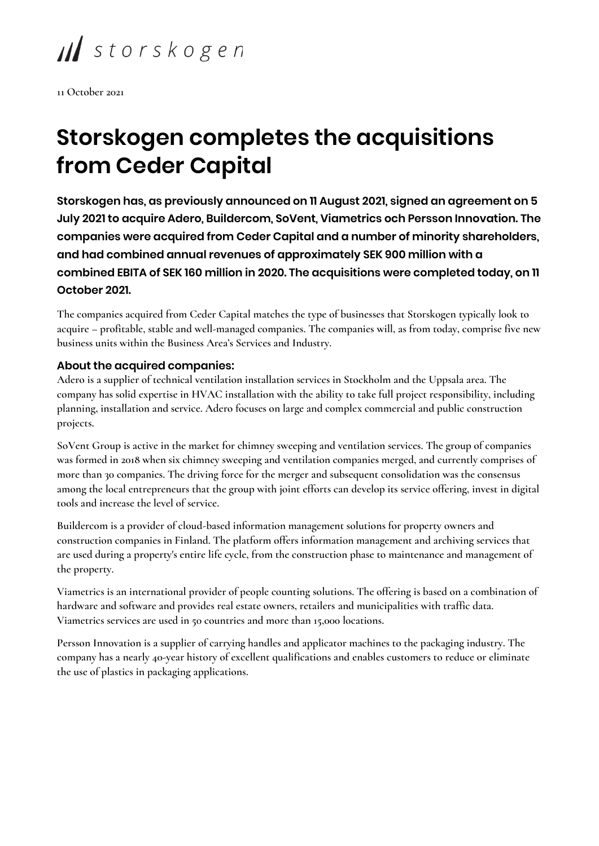II storskogen

**11 October 2021**

## **Storskogen completes the acquisitions from Ceder Capital**

**Storskogen has, as previously announced on 11 August 2021, signed an agreement on 5 July 2021 to acquire Adero, Buildercom, SoVent, Viametrics och Persson Innovation. The companies were acquired from Ceder Capital and a number of minority shareholders, and had combined annual revenues of approximately SEK 900 million with a combined EBITA of SEK 160 million in 2020. The acquisitions were completed today, on 11 October 2021.**

**The companies acquired from Ceder Capital matches the type of businesses that Storskogen typically look to acquire – profitable, stable and well-managed companies. The companies will, as from today, comprise five new business units within the Business Area's Services and Industry.**

## **About the acquired companies:**

**Adero is a supplier of technical ventilation installation services in Stockholm and the Uppsala area. The company has solid expertise in HVAC installation with the ability to take full project responsibility, including planning, installation and service. Adero focuses on large and complex commercial and public construction projects.**

**SoVent Group is active in the market for chimney sweeping and ventilation services. The group of companies was formed in 2018 when six chimney sweeping and ventilation companies merged, and currently comprises of more than 30 companies. The driving force for the merger and subsequent consolidation was the consensus among the local entrepreneurs that the group with joint efforts can develop its service offering, invest in digital tools and increase the level of service.**

**Buildercom is a provider of cloud-based information management solutions for property owners and construction companies in Finland. The platform offers information management and archiving services that are used during a property's entire life cycle, from the construction phase to maintenance and management of the property.**

**Viametrics is an international provider of people counting solutions. The offering is based on a combination of hardware and software and provides real estate owners, retailers and municipalities with traffic data. Viametrics services are used in 50 countries and more than 15,000 locations.**

**Persson Innovation is a supplier of carrying handles and applicator machines to the packaging industry. The company has a nearly 40-year history of excellent qualifications and enables customers to reduce or eliminate the use of plastics in packaging applications.**